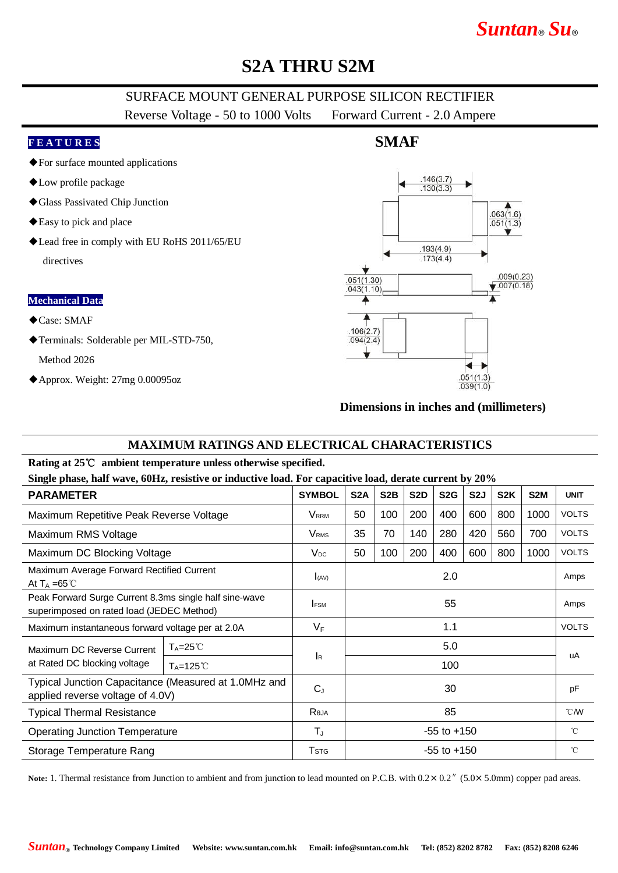# *Suntan***®** *Su***®**

## **S2A THRU S2M**

### SURFACE MOUNT GENERAL PURPOSE SILICON RECTIFIER

Reverse Voltage - 50 to 1000 Volts Forward Current - 2.0 Ampere

#### **F E A T U R E S**

- ◆For surface mounted applications
- ◆Low profile package
- ◆Glass Passivated Chip Junction
- ◆Easy to pick and place
- ◆Lead free in comply with EU RoHS 2011/65/EU directives

#### **Mechanical Data**

- ◆Case: SMAF
- ◆Terminals: Solderable per MIL-STD-750,

Method 2026

◆Approx. Weight: 27mg 0.00095oz

### **SMAF**



#### **Dimensions in inches and (millimeters)**

#### **MAXIMUM RATINGS AND ELECTRICAL CHARACTERISTICS**

#### **Rating at 25**℃ **ambient temperature unless otherwise specified.**

**Single phase, half wave, 60Hz, resistive or inductive load. For capacitive load, derate current by 20%**

| Dingit phase, hall wave, oving resistive or inductive load. For capacitive load, defait carrent by 2070 |                      |                           |                  |                  |                  |                  |                  |                  |                  |              |
|---------------------------------------------------------------------------------------------------------|----------------------|---------------------------|------------------|------------------|------------------|------------------|------------------|------------------|------------------|--------------|
| <b>PARAMETER</b>                                                                                        |                      | <b>SYMBOL</b>             | S <sub>2</sub> A | S <sub>2</sub> B | S <sub>2</sub> D | S <sub>2</sub> G | S <sub>2</sub> J | S <sub>2</sub> K | S <sub>2</sub> M | <b>UNIT</b>  |
| Maximum Repetitive Peak Reverse Voltage                                                                 |                      | <b>V</b> rrm              | 50               | 100              | 200              | 400              | 600              | 800              | 1000             | <b>VOLTS</b> |
| Maximum RMS Voltage                                                                                     |                      | <b>V</b> <sub>RMS</sub>   | 35               | 70               | 140              | 280              | 420              | 560              | 700              | <b>VOLTS</b> |
| Maximum DC Blocking Voltage                                                                             |                      | $V_{DC}$                  | 50               | 100              | 200              | 400              | 600              | 800              | 1000             | <b>VOLTS</b> |
| Maximum Average Forward Rectified Current<br>At $T_A = 65^{\circ}$ C                                    |                      | $I_{(AV)}$                | 2.0              |                  |                  |                  |                  |                  |                  | Amps         |
| Peak Forward Surge Current 8.3ms single half sine-wave<br>superimposed on rated load (JEDEC Method)     |                      | <b>FSM</b>                | 55               |                  |                  |                  |                  |                  |                  | Amps         |
| Maximum instantaneous forward voltage per at 2.0A                                                       |                      | $V_F$                     | 1.1              |                  |                  |                  |                  |                  |                  | <b>VOLTS</b> |
| Maximum DC Reverse Current<br>at Rated DC blocking voltage                                              | $T_A = 25^{\circ}$   |                           | 5.0              |                  |                  |                  |                  |                  |                  | uA           |
|                                                                                                         | $T_A = 125^{\circ}C$ | $\mathsf{I}_{\mathsf{R}}$ | 100              |                  |                  |                  |                  |                  |                  |              |
| Typical Junction Capacitance (Measured at 1.0MHz and<br>applied reverse voltage of 4.0V)                |                      | $C_{J}$                   | 30               |                  |                  |                  |                  |                  |                  | pF           |
| <b>Typical Thermal Resistance</b>                                                                       |                      | Reja                      | 85               |                  |                  |                  |                  |                  |                  | $°C$ MV      |
| <b>Operating Junction Temperature</b>                                                                   |                      | $T_{\rm J}$               | $-55$ to $+150$  |                  |                  |                  |                  |                  |                  | $^{\circ}$ C |
| Storage Temperature Rang                                                                                |                      | <b>T</b> <sub>STG</sub>   | $-55$ to $+150$  |                  |                  |                  |                  |                  |                  | $^{\circ}$ C |

Note: 1. Thermal resistance from Junction to ambient and from junction to lead mounted on P.C.B. with  $0.2 \times 0.2$ <sup>"</sup> (5.0×5.0mm) copper pad areas.